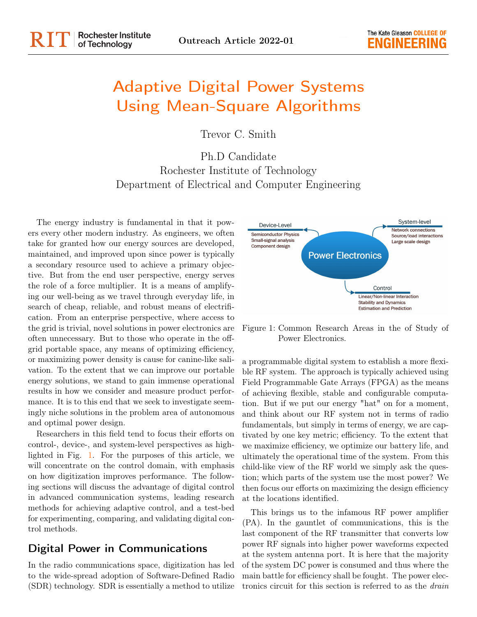# Adaptive Digital Power Systems Using Mean-Square Algorithms

Trevor C. Smith

Ph.D Candidate Rochester Institute of Technology Department of Electrical and Computer Engineering

The energy industry is fundamental in that it powers every other modern industry. As engineers, we often take for granted how our energy sources are developed, maintained, and improved upon since power is typically a secondary resource used to achieve a primary objective. But from the end user perspective, energy serves the role of a force multiplier. It is a means of amplifying our well-being as we travel through everyday life, in search of cheap, reliable, and robust means of electrification. From an enterprise perspective, where access to the grid is trivial, novel solutions in power electronics are often unnecessary. But to those who operate in the offgrid portable space, any means of optimizing efficiency, or maximizing power density is cause for canine-like salivation. To the extent that we can improve our portable energy solutions, we stand to gain immense operational results in how we consider and measure product performance. It is to this end that we seek to investigate seemingly niche solutions in the problem area of autonomous and optimal power design.

Researchers in this field tend to focus their efforts on control-, device-, and system-level perspectives as highlighted in Fig. [1.](#page-0-0) For the purposes of this article, we will concentrate on the control domain, with emphasis on how digitization improves performance. The following sections will discuss the advantage of digital control in advanced communication systems, leading research methods for achieving adaptive control, and a test-bed for experimenting, comparing, and validating digital control methods.

## Digital Power in Communications

In the radio communications space, digitization has led to the wide-spread adoption of Software-Defined Radio (SDR) technology. SDR is essentially a method to utilize



<span id="page-0-0"></span>Figure 1: Common Research Areas in the of Study of Power Electronics.

a programmable digital system to establish a more flexible RF system. The approach is typically achieved using Field Programmable Gate Arrays (FPGA) as the means of achieving flexible, stable and configurable computation. But if we put our energy "hat" on for a moment, and think about our RF system not in terms of radio fundamentals, but simply in terms of energy, we are captivated by one key metric; efficiency. To the extent that we maximize efficiency, we optimize our battery life, and ultimately the operational time of the system. From this child-like view of the RF world we simply ask the question; which parts of the system use the most power? We then focus our efforts on maximizing the design efficiency at the locations identified.

This brings us to the infamous RF power amplifier (PA). In the gauntlet of communications, this is the last component of the RF transmitter that converts low power RF signals into higher power waveforms expected at the system antenna port. It is here that the majority of the system DC power is consumed and thus where the main battle for efficiency shall be fought. The power electronics circuit for this section is referred to as the drain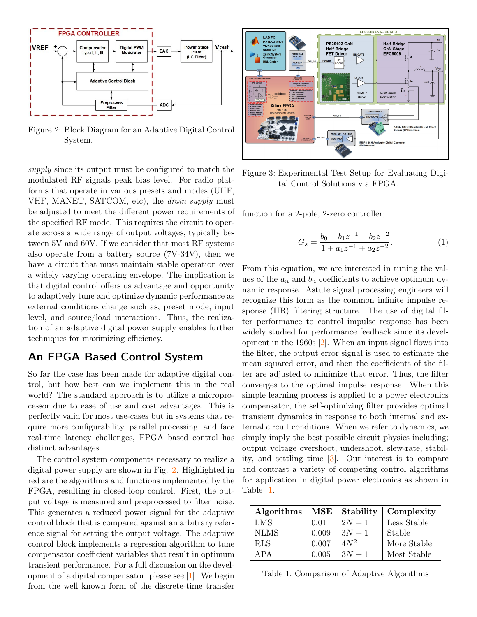

<span id="page-1-0"></span>Figure 2: Block Diagram for an Adaptive Digital Control System.

supply since its output must be configured to match the modulated RF signals peak bias level. For radio platforms that operate in various presets and modes (UHF, VHF, MANET, SATCOM, etc), the drain supply must be adjusted to meet the different power requirements of the specified RF mode. This requires the circuit to operate across a wide range of output voltages, typically between 5V and 60V. If we consider that most RF systems also operate from a battery source (7V-34V), then we have a circuit that must maintain stable operation over a widely varying operating envelope. The implication is that digital control offers us advantage and opportunity to adaptively tune and optimize dynamic performance as external conditions change such as; preset mode, input level, and source/load interactions. Thus, the realization of an adaptive digital power supply enables further techniques for maximizing efficiency.

### An FPGA Based Control System

So far the case has been made for adaptive digital control, but how best can we implement this in the real world? The standard approach is to utilize a microprocessor due to ease of use and cost advantages. This is perfectly valid for most use-cases but in systems that require more configurability, parallel processing, and face real-time latency challenges, FPGA based control has distinct advantages.

The control system components necessary to realize a digital power supply are shown in Fig. [2.](#page-1-0) Highlighted in red are the algorithms and functions implemented by the FPGA, resulting in closed-loop control. First, the output voltage is measured and preprocessed to filter noise. This generates a reduced power signal for the adaptive control block that is compared against an arbitrary reference signal for setting the output voltage. The adaptive control block implements a regression algorithm to tune compensator coefficient variables that result in optimum transient performance. For a full discussion on the development of a digital compensator, please see [\[1\]](#page-2-0). We begin from the well known form of the discrete-time transfer



Figure 3: Experimental Test Setup for Evaluating Digital Control Solutions via FPGA.

function for a 2-pole, 2-zero controller;

$$
G_s = \frac{b_0 + b_1 z^{-1} + b_2 z^{-2}}{1 + a_1 z^{-1} + a_2 z^{-2}}.
$$
\n(1)

From this equation, we are interested in tuning the values of the  $a_n$  and  $b_n$  coefficients to achieve optimum dynamic response. Astute signal processing engineers will recognize this form as the common infinite impulse response (IIR) filtering structure. The use of digital filter performance to control impulse response has been widely studied for performance feedback since its development in the 1960s [\[2\]](#page-2-1). When an input signal flows into the filter, the output error signal is used to estimate the mean squared error, and then the coefficients of the filter are adjusted to minimize that error. Thus, the filter converges to the optimal impulse response. When this simple learning process is applied to a power electronics compensator, the self-optimizing filter provides optimal transient dynamics in response to both internal and external circuit conditions. When we refer to dynamics, we simply imply the best possible circuit physics including; output voltage overshoot, undershoot, slew-rate, stability, and settling time [\[3\]](#page-2-2). Our interest is to compare and contrast a variety of competing control algorithms for application in digital power electronics as shown in Table [1.](#page-1-1)

| Algorithms  | $\operatorname{MSE}$ | Stability | Complexity  |
|-------------|----------------------|-----------|-------------|
| LMS         | 0.01                 | $2N+1$    | Less Stable |
| <b>NLMS</b> | 0.009                | $3N+1$    | Stable      |
| <b>RLS</b>  | 0.007                | $4N^2$    | More Stable |
| APA         | 0.005                | $3N+1$    | Most Stable |

<span id="page-1-1"></span>

|  | Table 1: Comparison of Adaptive Algorithms |  |  |
|--|--------------------------------------------|--|--|
|--|--------------------------------------------|--|--|